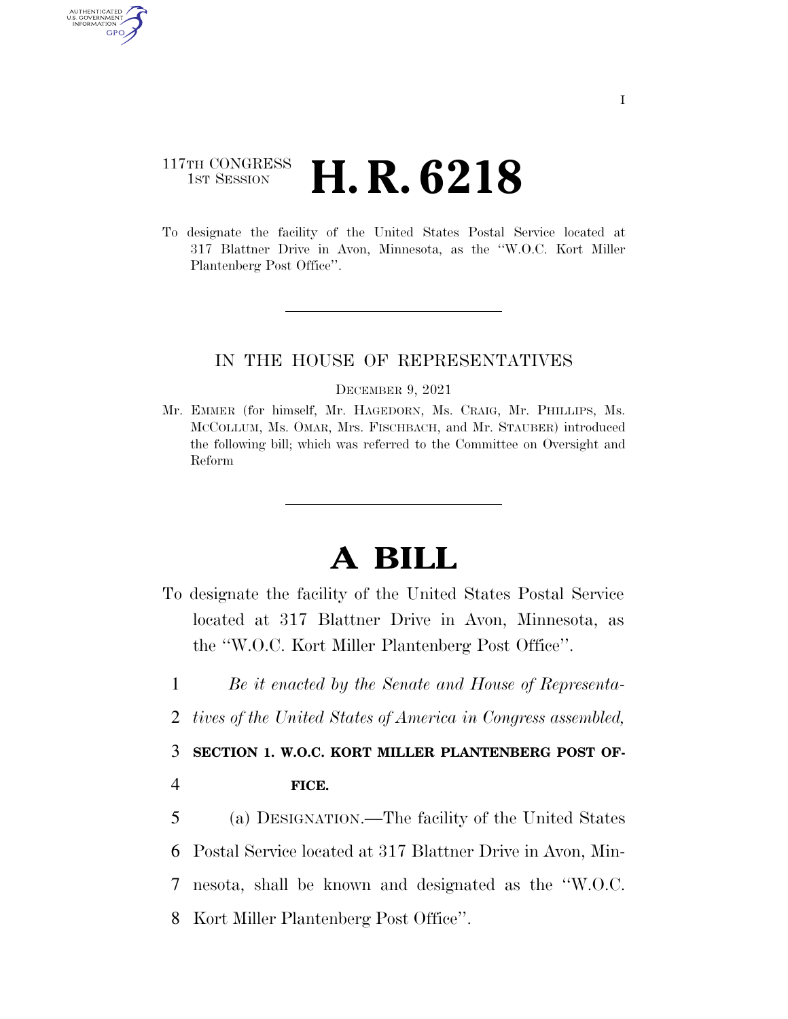## 117TH CONGRESS <sup>TH CONGRESS</sup> **H. R. 6218**

AUTHENTICATED U.S. GOVERNMENT GPO

> To designate the facility of the United States Postal Service located at 317 Blattner Drive in Avon, Minnesota, as the ''W.O.C. Kort Miller Plantenberg Post Office''.

## IN THE HOUSE OF REPRESENTATIVES

## DECEMBER 9, 2021

Mr. EMMER (for himself, Mr. HAGEDORN, Ms. CRAIG, Mr. PHILLIPS, Ms. MCCOLLUM, Ms. OMAR, Mrs. FISCHBACH, and Mr. STAUBER) introduced the following bill; which was referred to the Committee on Oversight and Reform

## **A BILL**

- To designate the facility of the United States Postal Service located at 317 Blattner Drive in Avon, Minnesota, as the ''W.O.C. Kort Miller Plantenberg Post Office''.
- 1 *Be it enacted by the Senate and House of Representa-*
- 2 *tives of the United States of America in Congress assembled,*

3 **SECTION 1. W.O.C. KORT MILLER PLANTENBERG POST OF-**

4 **FICE.** 

 (a) DESIGNATION.—The facility of the United States Postal Service located at 317 Blattner Drive in Avon, Min- nesota, shall be known and designated as the ''W.O.C. Kort Miller Plantenberg Post Office''.